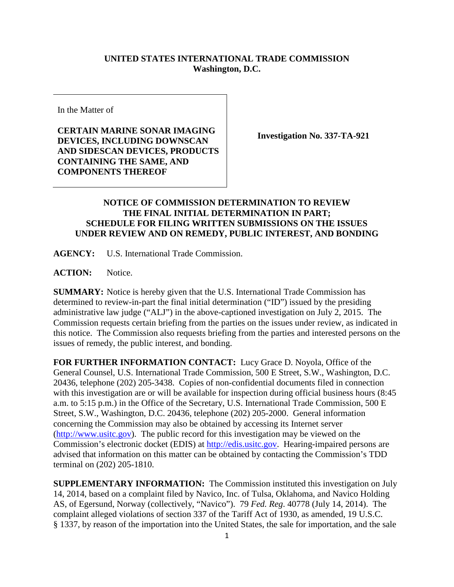## **UNITED STATES INTERNATIONAL TRADE COMMISSION Washington, D.C.**

In the Matter of

**CERTAIN MARINE SONAR IMAGING DEVICES, INCLUDING DOWNSCAN AND SIDESCAN DEVICES, PRODUCTS CONTAINING THE SAME, AND COMPONENTS THEREOF**

**Investigation No. 337-TA-921**

## **NOTICE OF COMMISSION DETERMINATION TO REVIEW THE FINAL INITIAL DETERMINATION IN PART; SCHEDULE FOR FILING WRITTEN SUBMISSIONS ON THE ISSUES UNDER REVIEW AND ON REMEDY, PUBLIC INTEREST, AND BONDING**

**AGENCY:** U.S. International Trade Commission.

**ACTION:** Notice.

**SUMMARY:** Notice is hereby given that the U.S. International Trade Commission has determined to review-in-part the final initial determination ("ID") issued by the presiding administrative law judge ("ALJ") in the above-captioned investigation on July 2, 2015. The Commission requests certain briefing from the parties on the issues under review, as indicated in this notice. The Commission also requests briefing from the parties and interested persons on the issues of remedy, the public interest, and bonding.

**FOR FURTHER INFORMATION CONTACT:** Lucy Grace D. Noyola, Office of the General Counsel, U.S. International Trade Commission, 500 E Street, S.W., Washington, D.C. 20436, telephone (202) 205-3438. Copies of non-confidential documents filed in connection with this investigation are or will be available for inspection during official business hours (8:45 a.m. to 5:15 p.m.) in the Office of the Secretary, U.S. International Trade Commission, 500 E Street, S.W., Washington, D.C. 20436, telephone (202) 205-2000. General information concerning the Commission may also be obtained by accessing its Internet server [\(http://www.usitc.gov\)](http://www.usitc.gov/). The public record for this investigation may be viewed on the Commission's electronic docket (EDIS) at [http://edis.usitc.gov.](http://edis.usitc.gov/) Hearing-impaired persons are advised that information on this matter can be obtained by contacting the Commission's TDD terminal on (202) 205-1810.

**SUPPLEMENTARY INFORMATION:** The Commission instituted this investigation on July 14, 2014, based on a complaint filed by Navico, Inc. of Tulsa, Oklahoma, and Navico Holding AS, of Egersund, Norway (collectively, "Navico"). 79 *Fed. Reg*. 40778 (July 14, 2014). The complaint alleged violations of section 337 of the Tariff Act of 1930, as amended, 19 U.S.C. § 1337, by reason of the importation into the United States, the sale for importation, and the sale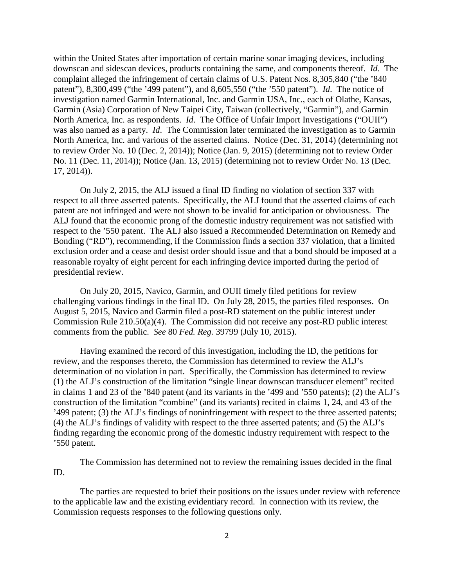within the United States after importation of certain marine sonar imaging devices, including downscan and sidescan devices, products containing the same, and components thereof. *Id*. The complaint alleged the infringement of certain claims of U.S. Patent Nos. 8,305,840 ("the '840 patent"), 8,300,499 ("the '499 patent"), and 8,605,550 ("the '550 patent"). *Id*. The notice of investigation named Garmin International, Inc. and Garmin USA, Inc., each of Olathe, Kansas, Garmin (Asia) Corporation of New Taipei City, Taiwan (collectively, "Garmin"), and Garmin North America, Inc. as respondents. *Id.* The Office of Unfair Import Investigations ("OUII") was also named as a party. *Id*. The Commission later terminated the investigation as to Garmin North America, Inc. and various of the asserted claims. Notice (Dec. 31, 2014) (determining not to review Order No. 10 (Dec. 2, 2014)); Notice (Jan. 9, 2015) (determining not to review Order No. 11 (Dec. 11, 2014)); Notice (Jan. 13, 2015) (determining not to review Order No. 13 (Dec. 17, 2014)).

On July 2, 2015, the ALJ issued a final ID finding no violation of section 337 with respect to all three asserted patents. Specifically, the ALJ found that the asserted claims of each patent are not infringed and were not shown to be invalid for anticipation or obviousness. The ALJ found that the economic prong of the domestic industry requirement was not satisfied with respect to the '550 patent. The ALJ also issued a Recommended Determination on Remedy and Bonding ("RD"), recommending, if the Commission finds a section 337 violation, that a limited exclusion order and a cease and desist order should issue and that a bond should be imposed at a reasonable royalty of eight percent for each infringing device imported during the period of presidential review.

On July 20, 2015, Navico, Garmin, and OUII timely filed petitions for review challenging various findings in the final ID. On July 28, 2015, the parties filed responses. On August 5, 2015, Navico and Garmin filed a post-RD statement on the public interest under Commission Rule 210.50(a)(4). The Commission did not receive any post-RD public interest comments from the public. *See* 80 *Fed. Reg.* 39799 (July 10, 2015).

Having examined the record of this investigation, including the ID, the petitions for review, and the responses thereto, the Commission has determined to review the ALJ's determination of no violation in part. Specifically, the Commission has determined to review (1) the ALJ's construction of the limitation "single linear downscan transducer element" recited in claims 1 and 23 of the '840 patent (and its variants in the '499 and '550 patents); (2) the ALJ's construction of the limitation "combine" (and its variants) recited in claims 1, 24, and 43 of the '499 patent; (3) the ALJ's findings of noninfringement with respect to the three asserted patents; (4) the ALJ's findings of validity with respect to the three asserted patents; and (5) the ALJ's finding regarding the economic prong of the domestic industry requirement with respect to the '550 patent.

The Commission has determined not to review the remaining issues decided in the final ID.

The parties are requested to brief their positions on the issues under review with reference to the applicable law and the existing evidentiary record. In connection with its review, the Commission requests responses to the following questions only.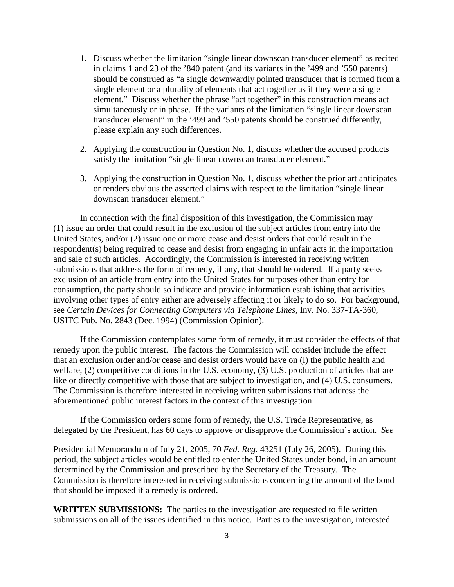- 1. Discuss whether the limitation "single linear downscan transducer element" as recited in claims 1 and 23 of the '840 patent (and its variants in the '499 and '550 patents) should be construed as "a single downwardly pointed transducer that is formed from a single element or a plurality of elements that act together as if they were a single element." Discuss whether the phrase "act together" in this construction means act simultaneously or in phase. If the variants of the limitation "single linear downscan transducer element" in the '499 and '550 patents should be construed differently, please explain any such differences.
- 2. Applying the construction in Question No. 1, discuss whether the accused products satisfy the limitation "single linear downscan transducer element."
- 3. Applying the construction in Question No. 1, discuss whether the prior art anticipates or renders obvious the asserted claims with respect to the limitation "single linear downscan transducer element."

In connection with the final disposition of this investigation, the Commission may (1) issue an order that could result in the exclusion of the subject articles from entry into the United States, and/or (2) issue one or more cease and desist orders that could result in the respondent(s) being required to cease and desist from engaging in unfair acts in the importation and sale of such articles. Accordingly, the Commission is interested in receiving written submissions that address the form of remedy, if any, that should be ordered. If a party seeks exclusion of an article from entry into the United States for purposes other than entry for consumption, the party should so indicate and provide information establishing that activities involving other types of entry either are adversely affecting it or likely to do so. For background, see *Certain Devices for Connecting Computers via Telephone Lines*, Inv. No. 337-TA-360, USITC Pub. No. 2843 (Dec. 1994) (Commission Opinion).

If the Commission contemplates some form of remedy, it must consider the effects of that remedy upon the public interest. The factors the Commission will consider include the effect that an exclusion order and/or cease and desist orders would have on (l) the public health and welfare, (2) competitive conditions in the U.S. economy, (3) U.S. production of articles that are like or directly competitive with those that are subject to investigation, and (4) U.S. consumers. The Commission is therefore interested in receiving written submissions that address the aforementioned public interest factors in the context of this investigation.

If the Commission orders some form of remedy, the U.S. Trade Representative, as delegated by the President, has 60 days to approve or disapprove the Commission's action. *See*

Presidential Memorandum of July 21, 2005, 70 *Fed. Reg.* 43251 (July 26, 2005). During this period, the subject articles would be entitled to enter the United States under bond, in an amount determined by the Commission and prescribed by the Secretary of the Treasury. The Commission is therefore interested in receiving submissions concerning the amount of the bond that should be imposed if a remedy is ordered.

**WRITTEN SUBMISSIONS:** The parties to the investigation are requested to file written submissions on all of the issues identified in this notice. Parties to the investigation, interested